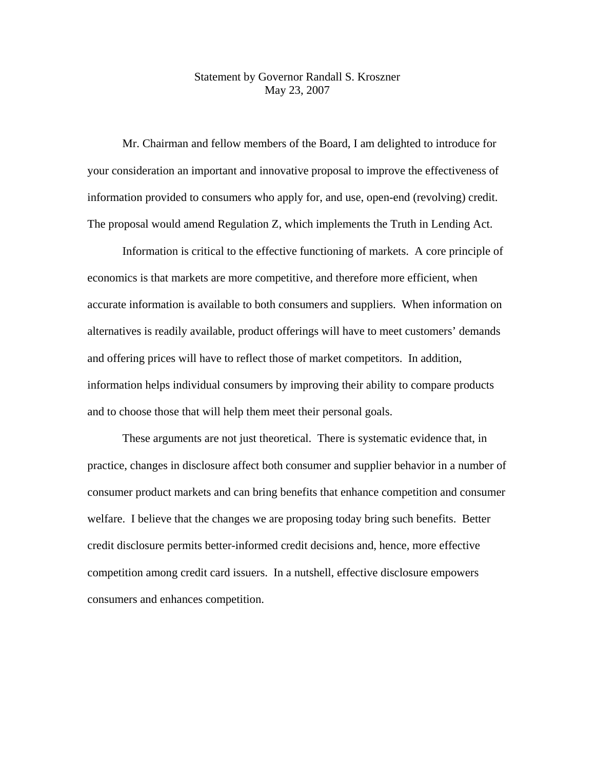## Statement by Governor Randall S. Kroszner May 23, 2007

 Mr. Chairman and fellow members of the Board, I am delighted to introduce for your consideration an important and innovative proposal to improve the effectiveness of information provided to consumers who apply for, and use, open-end (revolving) credit. The proposal would amend Regulation Z, which implements the Truth in Lending Act.

Information is critical to the effective functioning of markets. A core principle of economics is that markets are more competitive, and therefore more efficient, when accurate information is available to both consumers and suppliers. When information on alternatives is readily available, product offerings will have to meet customers' demands and offering prices will have to reflect those of market competitors. In addition, information helps individual consumers by improving their ability to compare products and to choose those that will help them meet their personal goals.

These arguments are not just theoretical. There is systematic evidence that, in practice, changes in disclosure affect both consumer and supplier behavior in a number of consumer product markets and can bring benefits that enhance competition and consumer welfare. I believe that the changes we are proposing today bring such benefits. Better credit disclosure permits better-informed credit decisions and, hence, more effective competition among credit card issuers. In a nutshell, effective disclosure empowers consumers and enhances competition.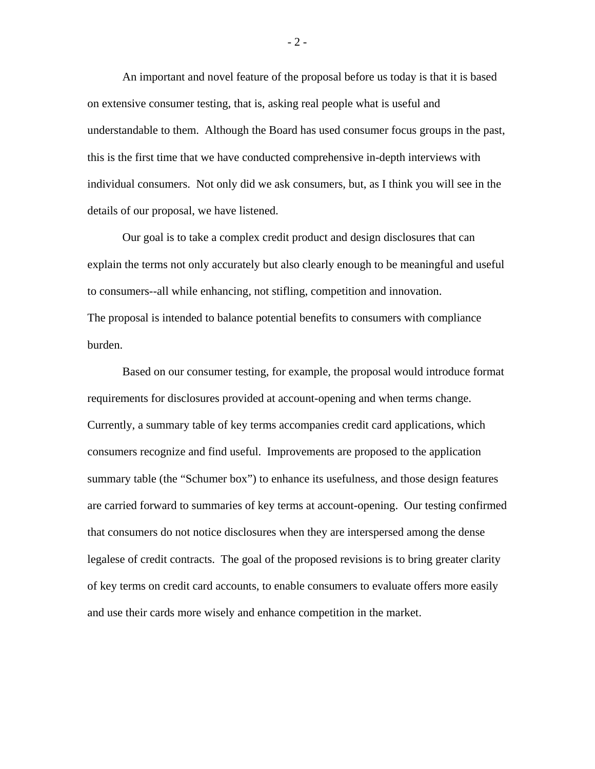An important and novel feature of the proposal before us today is that it is based on extensive consumer testing, that is, asking real people what is useful and understandable to them. Although the Board has used consumer focus groups in the past, this is the first time that we have conducted comprehensive in-depth interviews with individual consumers. Not only did we ask consumers, but, as I think you will see in the details of our proposal, we have listened.

 Our goal is to take a complex credit product and design disclosures that can explain the terms not only accurately but also clearly enough to be meaningful and useful to consumers--all while enhancing, not stifling, competition and innovation. The proposal is intended to balance potential benefits to consumers with compliance burden.

 Based on our consumer testing, for example, the proposal would introduce format requirements for disclosures provided at account-opening and when terms change. Currently, a summary table of key terms accompanies credit card applications, which consumers recognize and find useful. Improvements are proposed to the application summary table (the "Schumer box") to enhance its usefulness, and those design features are carried forward to summaries of key terms at account-opening. Our testing confirmed that consumers do not notice disclosures when they are interspersed among the dense legalese of credit contracts. The goal of the proposed revisions is to bring greater clarity of key terms on credit card accounts, to enable consumers to evaluate offers more easily and use their cards more wisely and enhance competition in the market.

- 2 -